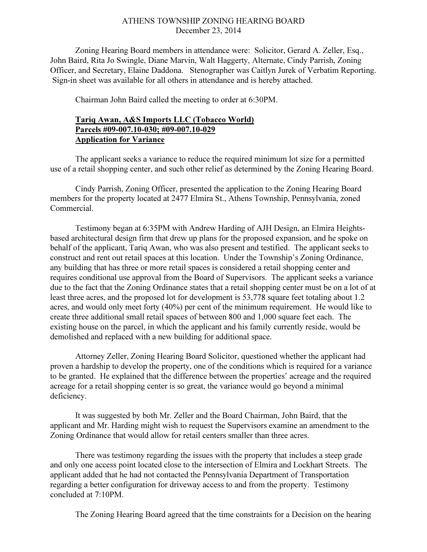## ATHENS TOWNSHIP ZONING HEARING BOARD December 23, 2014

Zoning Hearing Board members in attendance were: Solicitor, Gerard A. Zeller, Esq., John Baird, Rita Jo Swingle, Diane Marvin, Walt Haggerty, Alternate, Cindy Parrish, Zoning Officer, and Secretary, Elaine Daddona. Stenographer was Caitlyn Jurek of Verbatim Reporting. Sign-in sheet was available for all others in attendance and is hereby attached.

Chairman John Baird called the meeting to order at 6:30PM.

## Tariq Awan, A&S Imports LLC (Tobacco World) Parcels #09-007.10-030; #09-007.10-029 Application for Variance

 The applicant seeks a variance to reduce the required minimum lot size for a permitted use of a retail shopping center, and such other relief as determined by the Zoning Hearing Board.

 Cindy Parrish, Zoning Officer, presented the application to the Zoning Hearing Board members for the property located at 2477 Elmira St., Athens Township, Pennsylvania, zoned Commercial.

Testimony began at 6:35PM with Andrew Harding of AJH Design, an Elmira Heightsbased architectural design firm that drew up plans for the proposed expansion, and he spoke on behalf of the applicant, Tariq Awan, who was also present and testified. The applicant seeks to construct and rent out retail spaces at this location. Under the Township's Zoning Ordinance, any building that has three or more retail spaces is considered a retail shopping center and requires conditional use approval from the Board of Supervisors. The applicant seeks a variance due to the fact that the Zoning Ordinance states that a retail shopping center must be on a lot of at least three acres, and the proposed lot for development is 53,778 square feet totaling about 1.2 acres, and would only meet forty (40%) per cent of the minimum requirement. He would like to create three additional small retail spaces of between 800 and 1,000 square feet each. The existing house on the parcel, in which the applicant and his family currently reside, would be demolished and replaced with a new building for additional space.

Attorney Zeller, Zoning Hearing Board Solicitor, questioned whether the applicant had proven a hardship to develop the property, one of the conditions which is required for a variance to be granted. He explained that the difference between the properties' acreage and the required acreage for a retail shopping center is so great, the variance would go beyond a minimal deficiency.

It was suggested by both Mr. Zeller and the Board Chairman, John Baird, that the applicant and Mr. Harding might wish to request the Supervisors examine an amendment to the Zoning Ordinance that would allow for retail centers smaller than three acres.

There was testimony regarding the issues with the property that includes a steep grade and only one access point located close to the intersection of Elmira and Lockhart Streets. The applicant added that he had not contacted the Pennsylvania Department of Transportation regarding a better configuration for driveway access to and from the property. Testimony concluded at 7:10PM.

The Zoning Hearing Board agreed that the time constraints for a Decision on the hearing